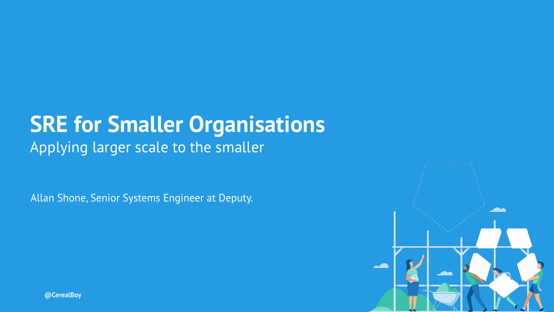### **SRE for Smaller Organisations**

Applying larger scale to the smaller

Allan Shone, Senior Systems Engineer at Deputy.



**@CerealBoy**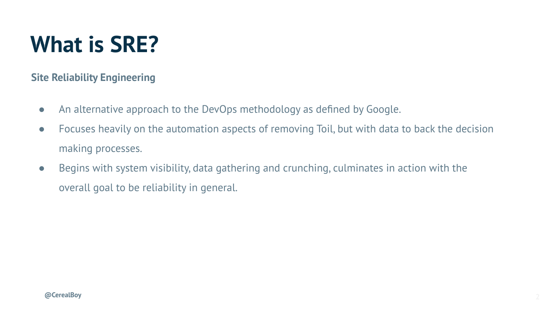#### **What is SRE?**

**Site Reliability Engineering**

- An alternative approach to the DevOps methodology as defined by Google.
- Focuses heavily on the automation aspects of removing Toil, but with data to back the decision making processes.
- Begins with system visibility, data gathering and crunching, culminates in action with the overall goal to be reliability in general.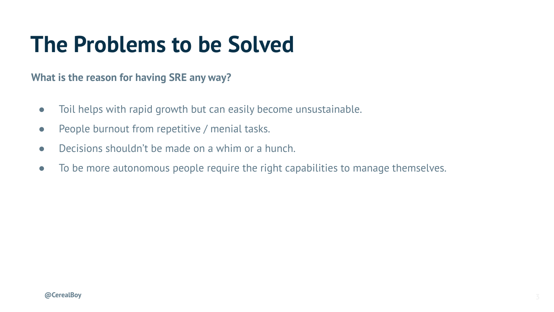#### **The Problems to be Solved**

**What is the reason for having SRE any way?**

- Toil helps with rapid growth but can easily become unsustainable.
- People burnout from repetitive / menial tasks.
- $\bullet$  Decisions shouldn't be made on a whim or a hunch.
- To be more autonomous people require the right capabilities to manage themselves.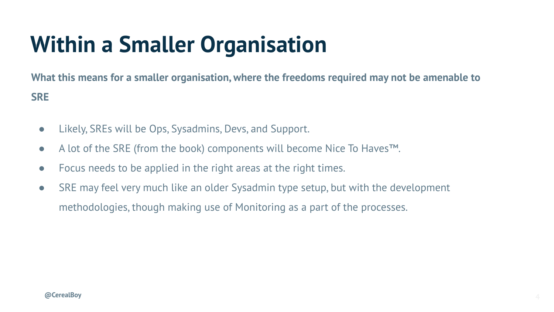### **Within a Smaller Organisation**

**What this means for a smaller organisation, where the freedoms required may not be amenable to SRE**

- Likely, SREs will be Ops, Sysadmins, Devs, and Support.
- A lot of the SRE (from the book) components will become Nice To Haves™.
- Focus needs to be applied in the right areas at the right times.
- SRE may feel very much like an older Sysadmin type setup, but with the development methodologies, though making use of Monitoring as a part of the processes.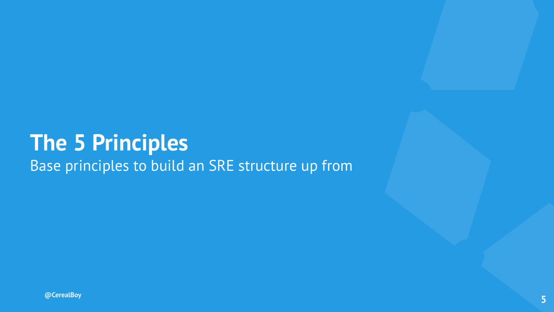#### **The 5 Principles**

Base principles to build an SRE structure up from

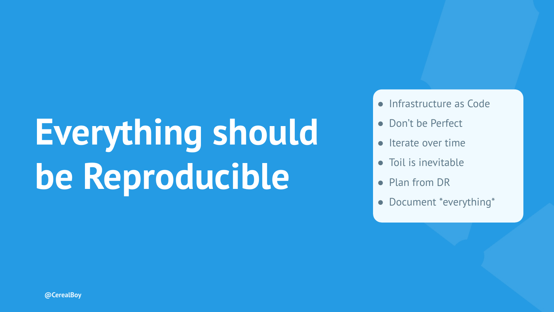### **Everything should be Reproducible**

- Infrastructure as Code
- Don't be Perfect
- Iterate over time
- Toil is inevitable
- Plan from DR
- Document \*everything\*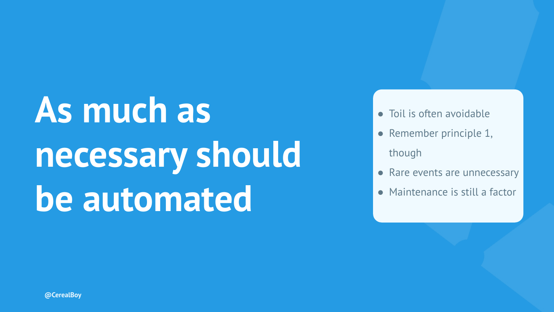# **As much as necessary should be automated**

- Toil is often avoidable
- Remember principle 1, though
- Rare events are unnecessary
- Maintenance is still a factor

**@CerealBoy**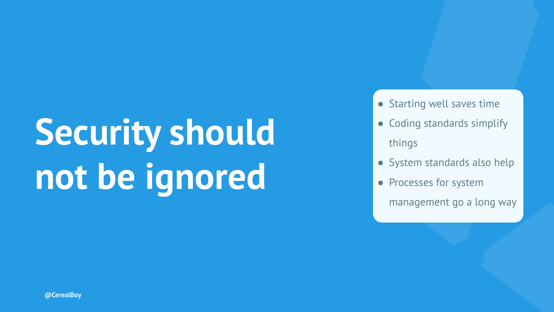# **Security should not be ignored**

- Starting well saves time
- Coding standards simplify things
- System standards also help
- Processes for system

management go a long way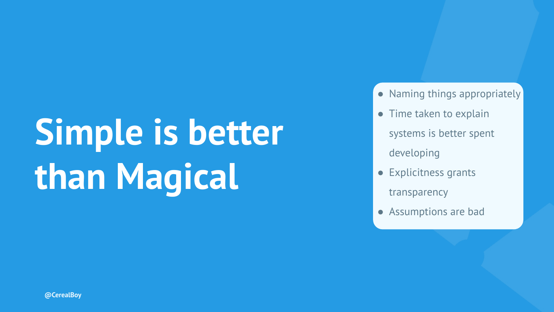# **Simple is better than Magical**

- Naming things appropriately
- Time taken to explain systems is better spent developing
- Explicitness grants transparency
- Assumptions are bad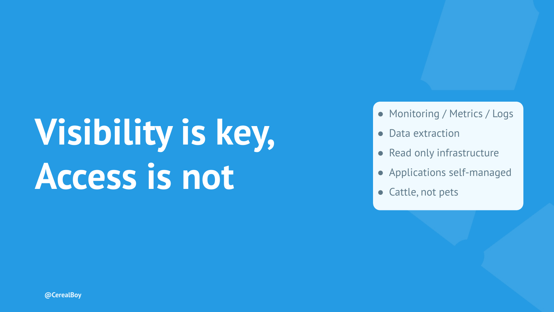### **Visibility is key, Access is not**

- Monitoring / Metrics / Logs
- Data extraction
- Read only infrastructure
- Applications self-managed
- Cattle, not pets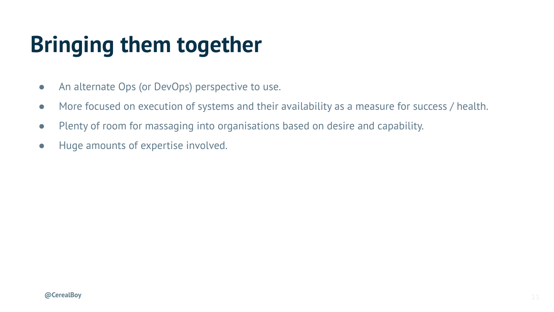#### **Bringing them together**

- An alternate Ops (or DevOps) perspective to use.
- More focused on execution of systems and their availability as a measure for success / health.
- Plenty of room for massaging into organisations based on desire and capability.
- Huge amounts of expertise involved.